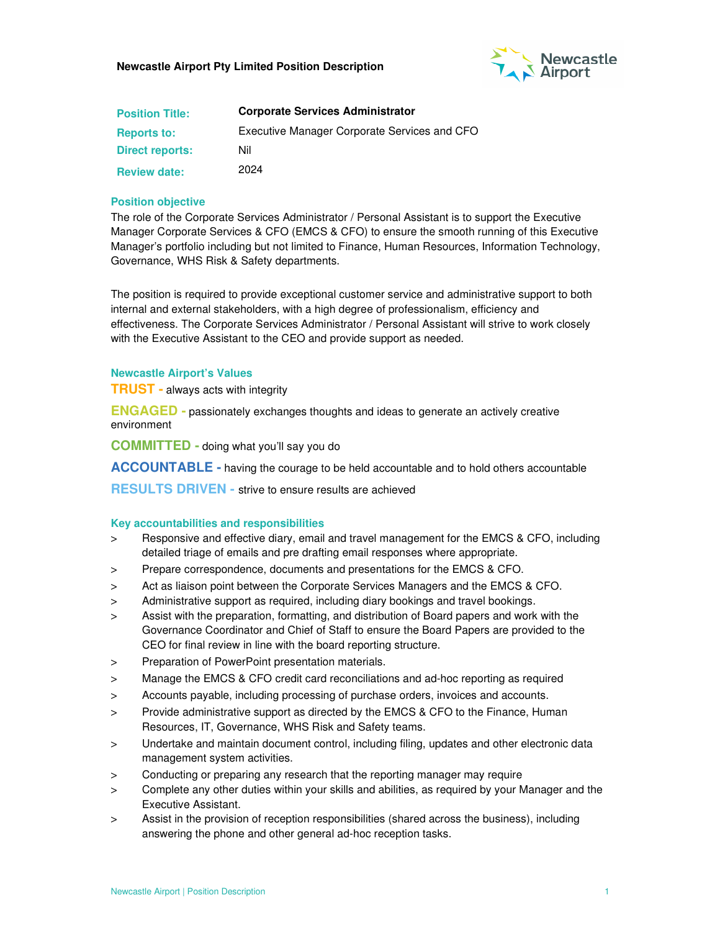

| <b>Position Title:</b> | <b>Corporate Services Administrator</b>      |  |  |
|------------------------|----------------------------------------------|--|--|
| <b>Reports to:</b>     | Executive Manager Corporate Services and CFO |  |  |
| <b>Direct reports:</b> | Nil                                          |  |  |
| <b>Review date:</b>    | 2024                                         |  |  |

### **Position objective**

The role of the Corporate Services Administrator / Personal Assistant is to support the Executive Manager Corporate Services & CFO (EMCS & CFO) to ensure the smooth running of this Executive Manager's portfolio including but not limited to Finance, Human Resources, Information Technology, Governance, WHS Risk & Safety departments.

The position is required to provide exceptional customer service and administrative support to both internal and external stakeholders, with a high degree of professionalism, efficiency and effectiveness. The Corporate Services Administrator / Personal Assistant will strive to work closely with the Executive Assistant to the CEO and provide support as needed.

#### **Newcastle Airport's Values**

**TRUST -** always acts with integrity

**ENGAGED -** passionately exchanges thoughts and ideas to generate an actively creative environment

**COMMITTED -** doing what you'll say you do

**ACCOUNTABLE -** having the courage to be held accountable and to hold others accountable

**RESULTS DRIVEN -** strive to ensure results are achieved

#### **Key accountabilities and responsibilities**

- > Responsive and effective diary, email and travel management for the EMCS & CFO, including detailed triage of emails and pre drafting email responses where appropriate.
- > Prepare correspondence, documents and presentations for the EMCS & CFO.
- > Act as liaison point between the Corporate Services Managers and the EMCS & CFO.
- > Administrative support as required, including diary bookings and travel bookings.
- > Assist with the preparation, formatting, and distribution of Board papers and work with the Governance Coordinator and Chief of Staff to ensure the Board Papers are provided to the CEO for final review in line with the board reporting structure.
- > Preparation of PowerPoint presentation materials.
- > Manage the EMCS & CFO credit card reconciliations and ad-hoc reporting as required
- > Accounts payable, including processing of purchase orders, invoices and accounts.
- > Provide administrative support as directed by the EMCS & CFO to the Finance, Human Resources, IT, Governance, WHS Risk and Safety teams.
- > Undertake and maintain document control, including filing, updates and other electronic data management system activities.
- > Conducting or preparing any research that the reporting manager may require
- > Complete any other duties within your skills and abilities, as required by your Manager and the Executive Assistant.
- > Assist in the provision of reception responsibilities (shared across the business), including answering the phone and other general ad-hoc reception tasks.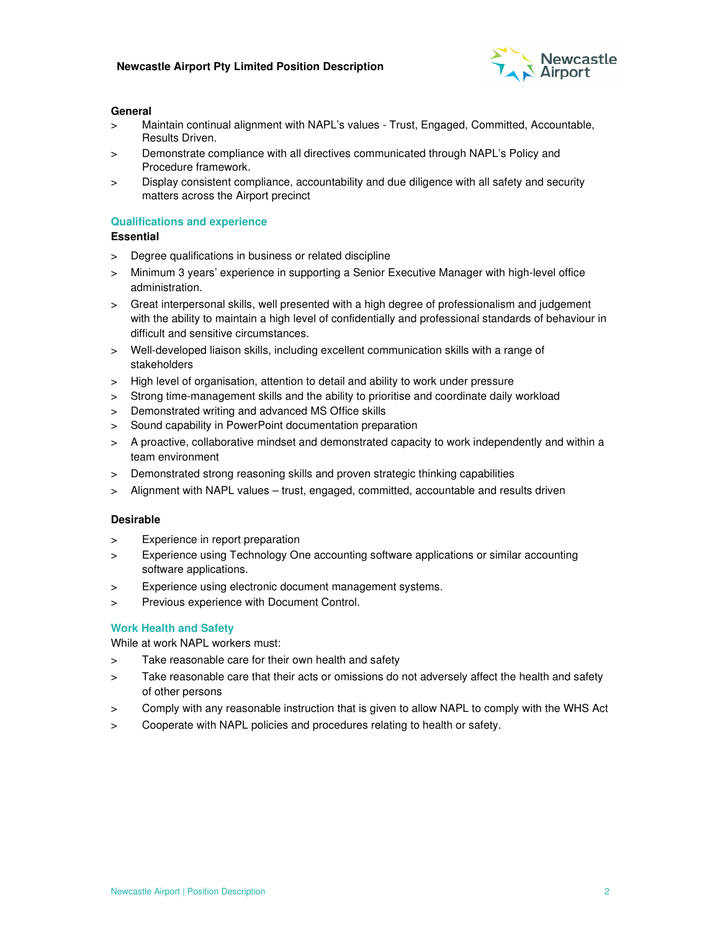

#### **General**

- > Maintain continual alignment with NAPL's values Trust, Engaged, Committed, Accountable, Results Driven.
- > Demonstrate compliance with all directives communicated through NAPL's Policy and Procedure framework.
- > Display consistent compliance, accountability and due diligence with all safety and security matters across the Airport precinct

# **Qualifications and experience**

## **Essential**

- > Degree qualifications in business or related discipline
- > Minimum 3 years' experience in supporting a Senior Executive Manager with high-level office administration.
- > Great interpersonal skills, well presented with a high degree of professionalism and judgement with the ability to maintain a high level of confidentially and professional standards of behaviour in difficult and sensitive circumstances.
- > Well-developed liaison skills, including excellent communication skills with a range of stakeholders
- > High level of organisation, attention to detail and ability to work under pressure
- > Strong time-management skills and the ability to prioritise and coordinate daily workload
- > Demonstrated writing and advanced MS Office skills
- > Sound capability in PowerPoint documentation preparation
- > A proactive, collaborative mindset and demonstrated capacity to work independently and within a team environment
- > Demonstrated strong reasoning skills and proven strategic thinking capabilities
- > Alignment with NAPL values trust, engaged, committed, accountable and results driven

# **Desirable**

- > Experience in report preparation
- > Experience using Technology One accounting software applications or similar accounting software applications.
- > Experience using electronic document management systems.
- > Previous experience with Document Control.

# **Work Health and Safety**

While at work NAPL workers must:

- > Take reasonable care for their own health and safety
- > Take reasonable care that their acts or omissions do not adversely affect the health and safety of other persons
- > Comply with any reasonable instruction that is given to allow NAPL to comply with the WHS Act
- > Cooperate with NAPL policies and procedures relating to health or safety.